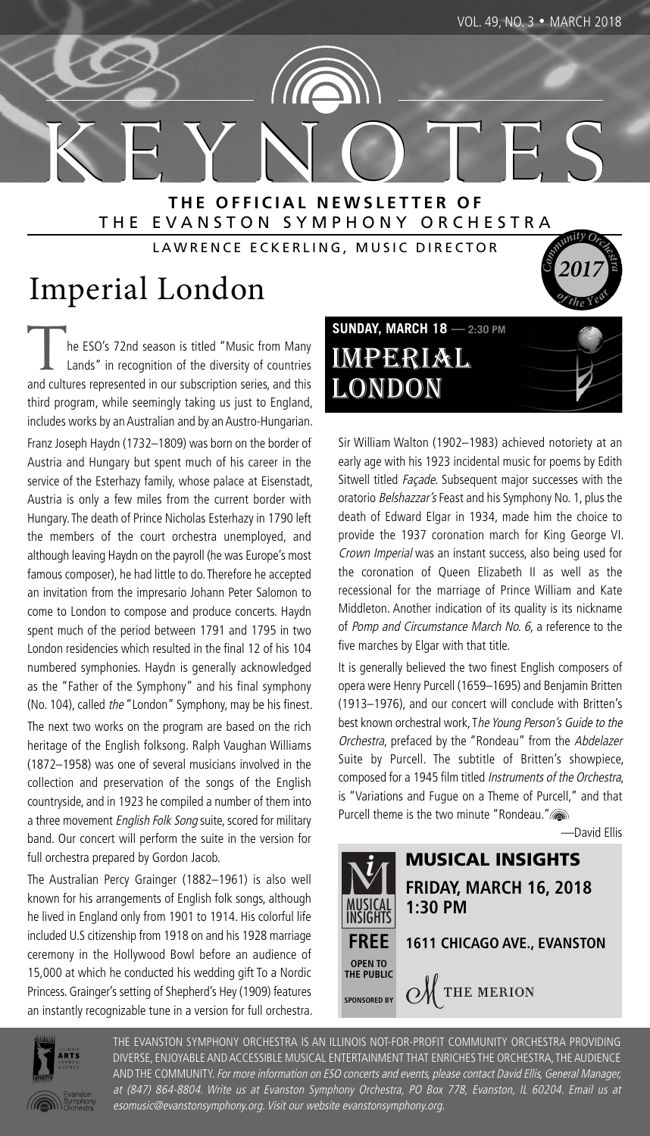**<sup>o</sup>f <sup>t</sup>h<sup>e</sup> <sup>Y</sup>ea<sup>r</sup>**

**2017 <sup>C</sup>**

K E Y N O T E S **T H E O F F I C I A L N E W S L E T T E R O F** THE EVANSTON SYMPHONY ORCHESTRA **c**<br>**c**<br>**c**<br>**c**<br>**c**<br>**c**<br>**c**<br>**c**<br>**c** 

LAWRENCE ECKERLING, MUSIC DIRECTOR

# Imperial London

The ESO's 72nd season is titled "Music from Many<br>Lands" in recognition of the diversity of countries and cultures represented in our subscription series, and this third program, while seemingly taking us just to England, includes works by an Australian and by an Austro-Hungarian.

Franz Joseph Haydn (1732–1809) was born on the border of Austria and Hungary but spent much of his career in the service of the Esterhazy family, whose palace at Eisenstadt, Austria is only a few miles from the current border with Hungary. The death of Prince Nicholas Esterhazy in 1790 left the members of the court orchestra unemployed, and although leaving Haydn on the payroll (he was Europe's most famous composer), he had little to do. Therefore he accepted an invitation from the impresario Johann Peter Salomon to come to London to compose and produce concerts. Haydn spent much of the period between 1791 and 1795 in two London residencies which resulted in the final 12 of his 104 numbered symphonies. Haydn is generally acknowledged as the "Father of the Symphony" and his final symphony (No. 104), called the "London" Symphony, may be his finest.

The next two works on the program are based on the rich heritage of the English folksong. Ralph Vaughan Williams (1872–1958) was one of several musicians involved in the collection and preservation of the songs of the English countryside, and in 1923 he compiled a number of them into a three movement English Folk Song suite, scored for military band. Our concert will perform the suite in the version for full orchestra prepared by Gordon Jacob.

The Australian Percy Grainger (1882–1961) is also well known for his arrangements of English folk songs, although he lived in England only from 1901 to 1914. His colorful life included U.S citizenship from 1918 on and his 1928 marriage ceremony in the Hollywood Bowl before an audience of 15,000 at which he conducted his wedding gift To a Nordic Princess. Grainger's setting of Shepherd's Hey (1909) features an instantly recognizable tune in a version for full orchestra.

**SUNDAY, MARCH 18 — 2:30 PM** IMPERIAL LONDON

Sir William Walton (1902–1983) achieved notoriety at an early age with his 1923 incidental music for poems by Edith Sitwell titled Façade. Subsequent major successes with the oratorio Belshazzar's Feast and his Symphony No. 1, plus the death of Edward Elgar in 1934, made him the choice to provide the 1937 coronation march for King George VI. Crown Imperial was an instant success, also being used for the coronation of Queen Elizabeth II as well as the recessional for the marriage of Prince William and Kate Middleton. Another indication of its quality is its nickname of Pomp and Circumstance March No. 6, a reference to the five marches by Elgar with that title.

It is generally believed the two finest English composers of opera were Henry Purcell (1659–1695) and Benjamin Britten (1913–1976), and our concert will conclude with Britten's best known orchestral work, The Young Person's Guide to the Orchestra, prefaced by the "Rondeau" from the Abdelazer Suite by Purcell. The subtitle of Britten's showpiece, composed for a 1945 film titled Instruments of the Orchestra, is "Variations and Fugue on a Theme of Purcell," and that Purcell theme is the two minute "Rondeau."

—David Ellis





THE EVANSTON SYMPHONY ORCHESTRA IS AN ILLINOIS NOT-FOR-PROFIT COMMUNITY ORCHESTRA PROVIDING DIVERSE, ENJOYABLE AND ACCESSIBLE MUSICAL ENTERTAINMENT THAT ENRICHES THE ORCHESTRA, THE AUDIENCE AND THE COMMUNITY. For more information on ESO concerts and events, please contact David Ellis, General Manager, at (847) 864-8804. Write us at Evanston Symphony Orchestra, PO Box 778, Evanston, IL 60204. Email us at esomusic@evanstonsymphony.org. Visit our website evanstonsymphony.org.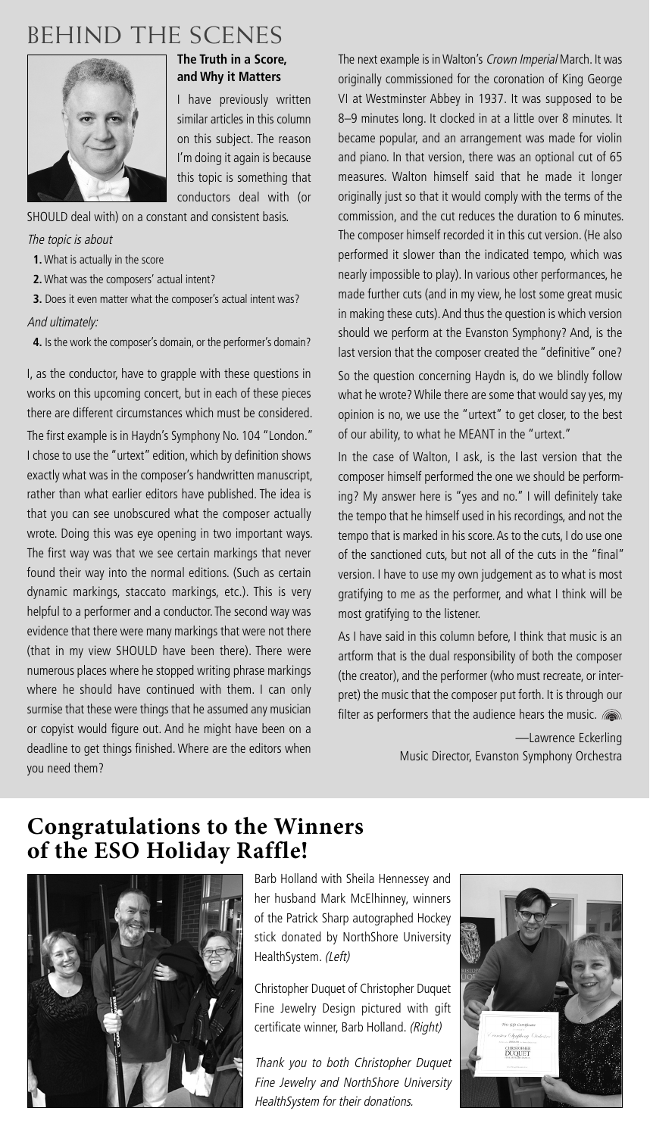## BEHIND THE SCENES



#### **The Truth in a Score, and Why it Matters**

I have previously written similar articles in this column on this subject. The reason I'm doing it again is because this topic is something that conductors deal with (or

SHOULD deal with) on a constant and consistent basis.

The topic is about

- **1.** What is actually in the score
- **2.** What was the composers' actual intent?

**3.** Does it even matter what the composer's actual intent was? And ultimately:

**4.** Is the work the composer's domain, or the performer's domain?

I, as the conductor, have to grapple with these questions in works on this upcoming concert, but in each of these pieces there are different circumstances which must be considered.

The first example is in Haydn's Symphony No. 104 "London." I chose to use the "urtext" edition, which by definition shows exactly what was in the composer's handwritten manuscript, rather than what earlier editors have published. The idea is that you can see unobscured what the composer actually wrote. Doing this was eye opening in two important ways. The first way was that we see certain markings that never found their way into the normal editions. (Such as certain dynamic markings, staccato markings, etc.). This is very helpful to a performer and a conductor. The second way was evidence that there were many markings that were not there (that in my view SHOULD have been there). There were numerous places where he stopped writing phrase markings where he should have continued with them. I can only surmise that these were things that he assumed any musician or copyist would figure out. And he might have been on a deadline to get things finished. Where are the editors when you need them?

The next example is in Walton's Crown Imperial March. It was originally commissioned for the coronation of King George VI at Westminster Abbey in 1937. It was supposed to be 8–9 minutes long. It clocked in at a little over 8 minutes. It became popular, and an arrangement was made for violin and piano. In that version, there was an optional cut of 65 measures. Walton himself said that he made it longer originally just so that it would comply with the terms of the commission, and the cut reduces the duration to 6 minutes. The composer himself recorded it in this cut version. (He also performed it slower than the indicated tempo, which was nearly impossible to play). In various other performances, he made further cuts (and in my view, he lost some great music in making these cuts).And thus the question is which version should we perform at the Evanston Symphony? And, is the last version that the composer created the "definitive" one? So the question concerning Haydn is, do we blindly follow what he wrote? While there are some that would say yes, my opinion is no, we use the "urtext" to get closer, to the best of our ability, to what he MEANT in the "urtext."

In the case of Walton, I ask, is the last version that the composer himself performed the one we should be performing? My answer here is "yes and no." I will definitely take the tempo that he himself used in his recordings, and not the tempo that is marked in his score. As to the cuts, I do use one of the sanctioned cuts, but not all of the cuts in the "final" version. I have to use my own judgement as to what is most gratifying to me as the performer, and what I think will be most gratifying to the listener.

As I have said in this column before, I think that music is an artform that is the dual responsibility of both the composer (the creator), and the performer (who must recreate, or interpret) the music that the composer put forth. It is through our filter as performers that the audience hears the music.

> —Lawrence Eckerling Music Director, Evanston Symphony Orchestra

#### **Congratulations to the Winners of the ESO Holiday Raffle!**



Barb Holland with Sheila Hennessey and her husband Mark McElhinney, winners of the Patrick Sharp autographed Hockey stick donated by NorthShore University HealthSystem. (Left)

Christopher Duquet of Christopher Duquet Fine Jewelry Design pictured with gift certificate winner, Barb Holland. (Right)

Thank you to both Christopher Duquet Fine Jewelry and NorthShore University HealthSystem for their donations.

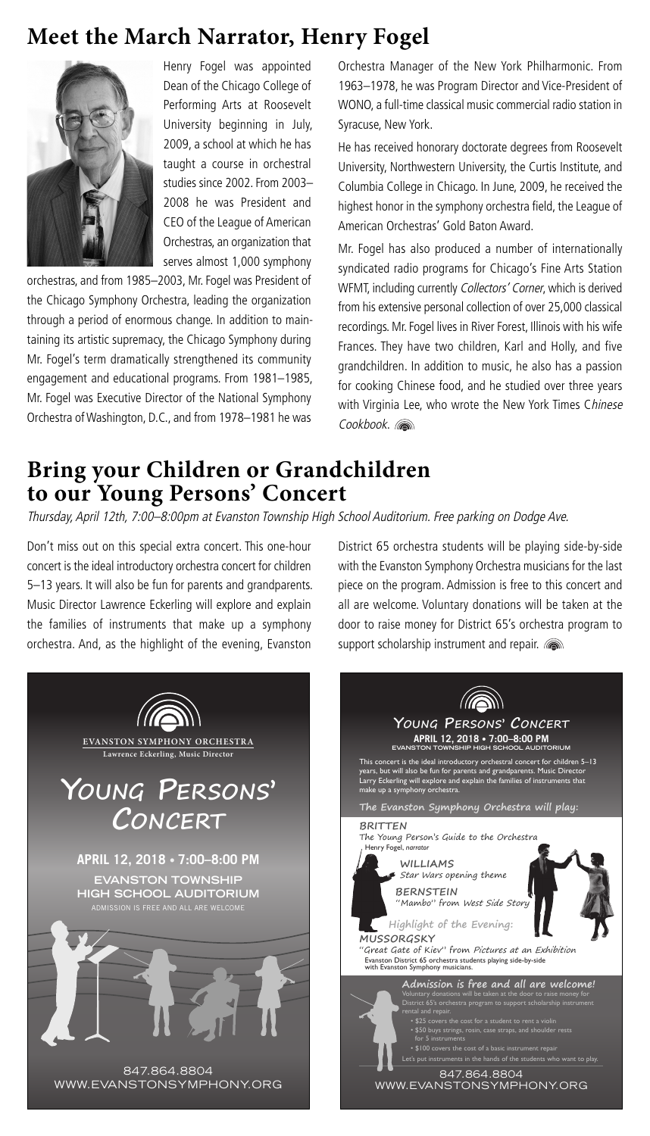#### **Meet the March Narrator, Henry Fogel**



Henry Fogel was appointed Dean of the Chicago College of Performing Arts at Roosevelt University beginning in July, 2009, a school at which he has taught a course in orchestral studies since 2002. From 2003– 2008 he was President and CEO of the League of American Orchestras, an organization that serves almost 1,000 symphony

orchestras, and from 1985–2003, Mr. Fogel was President of the Chicago Symphony Orchestra, leading the organization through a period of enormous change. In addition to maintaining its artistic supremacy, the Chicago Symphony during Mr. Fogel's term dramatically strengthened its community engagement and educational programs. From 1981–1985, Mr. Fogel was Executive Director of the National Symphony Orchestra ofWashington, D.C., and from 1978–1981 he was

Orchestra Manager of the New York Philharmonic. From 1963–1978, he was Program Director and Vice-President of WONO, a full-time classical music commercial radio station in Syracuse, New York.

He has received honorary doctorate degrees from Roosevelt University, Northwestern University, the Curtis Institute, and Columbia College in Chicago. In June, 2009, he received the highest honor in the symphony orchestra field, the League of American Orchestras' Gold Baton Award.

Mr. Fogel has also produced a number of internationally syndicated radio programs for Chicago's Fine Arts Station WFMT, including currently Collectors' Corner, which is derived from his extensive personal collection of over 25,000 classical recordings. Mr. Fogel lives in River Forest, Illinois with his wife Frances. They have two children, Karl and Holly, and five grandchildren. In addition to music, he also has a passion for cooking Chinese food, and he studied over three years with Virginia Lee, who wrote the New York Times Chinese Cookbook.

#### **Bring your Children or Grandchildren to our Young Persons' Concert**

Thursday, April 12th, 7:00–8:00pm at Evanston Township High School Auditorium. Free parking on Dodge Ave.

Don't miss out on this special extra concert. This one-hour concert is the ideal introductory orchestra concert for children 5–13 years. It will also be fun for parents and grandparents. Music Director Lawrence Eckerling will explore and explain the families of instruments that make up a symphony orchestra. And, as the highlight of the evening, Evanston



District 65 orchestra students will be playing side-by-side with the Evanston Symphony Orchestra musicians for the last piece on the program. Admission is free to this concert and all are welcome. Voluntary donations will be taken at the door to raise money for District 65's orchestra program to support scholarship instrument and repair. **s** The company of the company

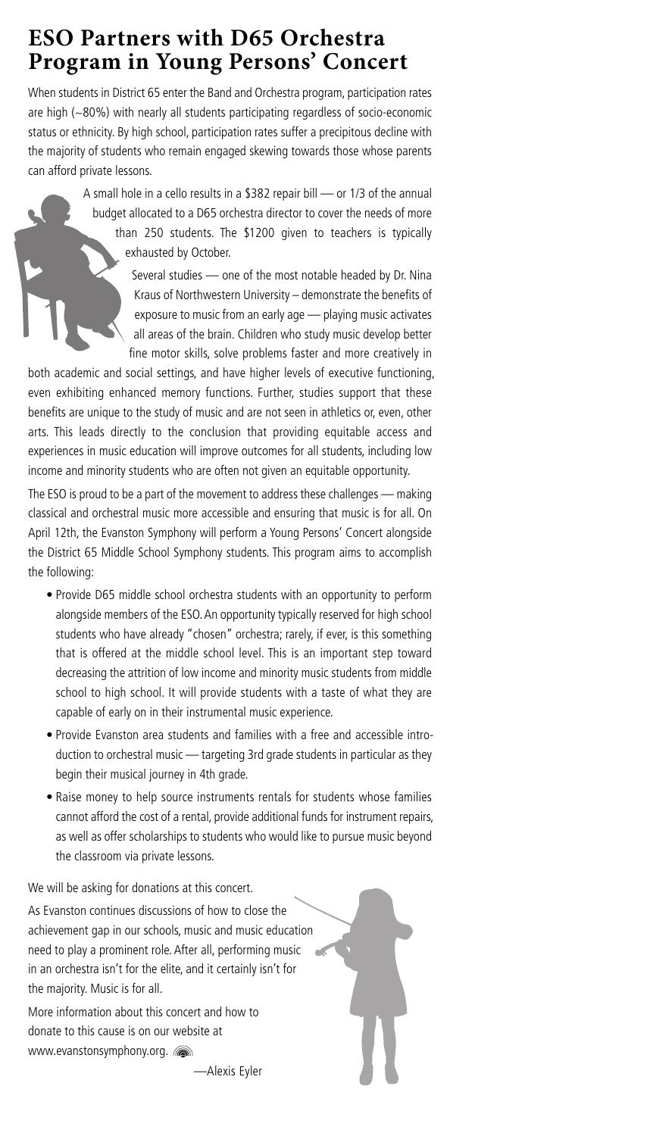### **ESO Partners with D65 Orchestra Program in Young Persons' Concert**

When students in District 65 enter the Band and Orchestra program, participation rates are high (~80%) with nearly all students participating regardless of socio-economic status or ethnicity. By high school, participation rates suffer a precipitous decline with the majority of students who remain engaged skewing towards those whose parents can afford private lessons.

> A small hole in a cello results in a \$382 repair bill — or 1/3 of the annual budget allocated to a D65 orchestra director to cover the needs of more than 250 students. The \$1200 given to teachers is typically exhausted by October.

> > Several studies — one of the most notable headed by Dr. Nina Kraus of Northwestern University – demonstrate the benefits of exposure to music from an early age — playing music activates all areas of the brain. Children who study music develop better fine motor skills, solve problems faster and more creatively in

both academic and social settings, and have higher levels of executive functioning, even exhibiting enhanced memory functions. Further, studies support that these benefits are unique to the study of music and are not seen in athletics or, even, other arts. This leads directly to the conclusion that providing equitable access and experiences in music education will improve outcomes for all students, including low income and minority students who are often not given an equitable opportunity.

The ESO is proud to be a part of the movement to address these challenges — making classical and orchestral music more accessible and ensuring that music is for all. On April 12th, the Evanston Symphony will perform a Young Persons' Concert alongside the District 65 Middle School Symphony students. This program aims to accomplish the following:

- Provide D65 middle school orchestra students with an opportunity to perform alongside members of the ESO.An opportunity typically reserved for high school students who have already "chosen" orchestra; rarely, if ever, is this something that is offered at the middle school level. This is an important step toward decreasing the attrition of low income and minority music students from middle school to high school. It will provide students with a taste of what they are capable of early on in their instrumental music experience.
- Provide Evanston area students and families with a free and accessible introduction to orchestral music — targeting 3rd grade students in particular as they begin their musical journey in 4th grade.
- Raise money to help source instruments rentals for students whose families cannot afford the cost of a rental, provide additional funds for instrument repairs, as well as offer scholarships to students who would like to pursue music beyond the classroom via private lessons.

We will be asking for donations at this concert. As Evanston continues discussions of how to close the achievement gap in our schools, music and music education need to play a prominent role. After all, performing music in an orchestra isn't for the elite, and it certainly isn't for the majority. Music is for all.

More information about this concert and how to donate to this cause is on our website at www.evanstonsymphony.org. **some** 

—Alexis Eyler